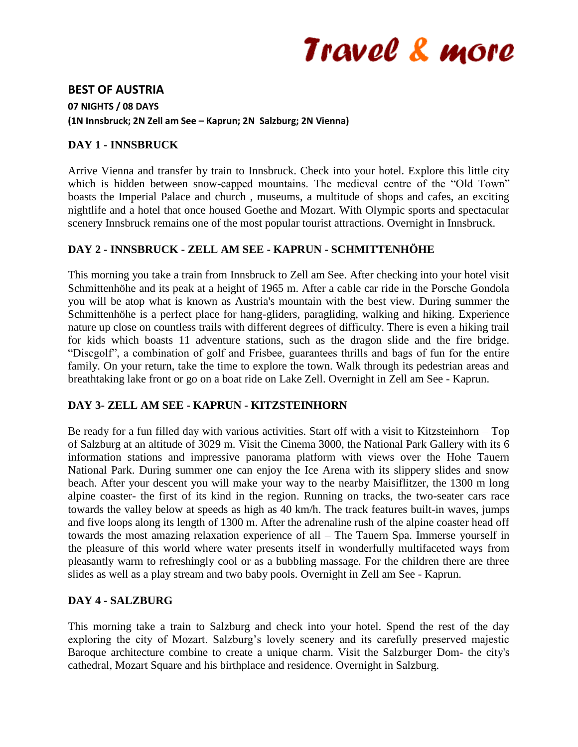# Travel & more

## **BEST OF AUSTRIA**

**07 NIGHTS / 08 DAYS (1N Innsbruck; 2N Zell am See – Kaprun; 2N Salzburg; 2N Vienna)**

## **DAY 1 - INNSBRUCK**

Arrive Vienna and transfer by train to Innsbruck. Check into your hotel. Explore this little city which is hidden between snow-capped mountains. The medieval centre of the "Old Town" boasts the Imperial Palace and church , museums, a multitude of shops and cafes, an exciting nightlife and a hotel that once housed Goethe and Mozart. With Olympic sports and spectacular scenery Innsbruck remains one of the most popular tourist attractions. Overnight in Innsbruck.

# **DAY 2 - INNSBRUCK - ZELL AM SEE - KAPRUN - SCHMITTENHÖHE**

This morning you take a train from Innsbruck to Zell am See. After checking into your hotel visit Schmittenhöhe and its peak at a height of 1965 m. After a cable car ride in the Porsche Gondola you will be atop what is known as Austria's mountain with the best view. During summer the Schmittenhöhe is a perfect place for hang-gliders, paragliding, walking and hiking. Experience nature up close on countless trails with different degrees of difficulty. There is even a hiking trail for kids which boasts 11 adventure stations, such as the dragon slide and the fire bridge. "Discgolf", a combination of golf and Frisbee, guarantees thrills and bags of fun for the entire family. On your return, take the time to explore the town. Walk through its pedestrian areas and breathtaking lake front or go on a boat ride on Lake Zell. Overnight in Zell am See - Kaprun.

## **DAY 3- ZELL AM SEE - KAPRUN - KITZSTEINHORN**

Be ready for a fun filled day with various activities. Start off with a visit to Kitzsteinhorn – Top of Salzburg at an altitude of 3029 m. Visit the Cinema 3000, the National Park Gallery with its 6 information stations and impressive panorama platform with views over the Hohe Tauern National Park. During summer one can enjoy the Ice Arena with its slippery slides and snow beach. After your descent you will make your way to the nearby Maisiflitzer, the 1300 m long alpine coaster- the first of its kind in the region. Running on tracks, the two-seater cars race towards the valley below at speeds as high as 40 km/h. The track features built-in waves, jumps and five loops along its length of 1300 m. After the adrenaline rush of the alpine coaster head off towards the most amazing relaxation experience of all – The Tauern Spa. Immerse yourself in the pleasure of this world where water presents itself in wonderfully multifaceted ways from pleasantly warm to refreshingly cool or as a bubbling massage. For the children there are three slides as well as a play stream and two baby pools. Overnight in Zell am See - Kaprun.

## **DAY 4 - SALZBURG**

This morning take a train to Salzburg and check into your hotel. Spend the rest of the day exploring the city of Mozart. Salzburg's lovely scenery and its carefully preserved majestic Baroque architecture combine to create a unique charm. Visit the Salzburger Dom- the city's cathedral, Mozart Square and his birthplace and residence. Overnight in Salzburg.